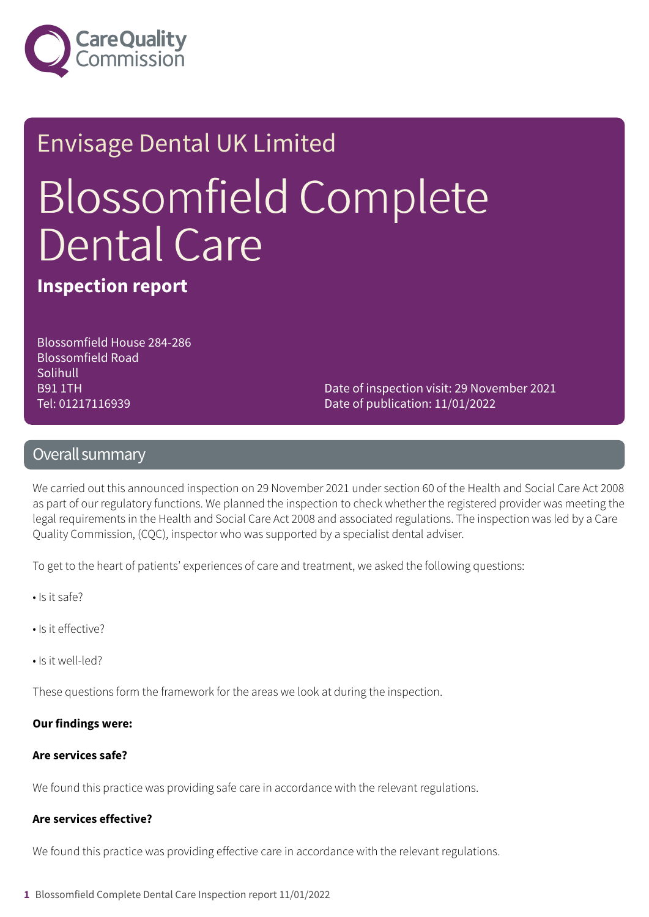

# Envisage Dental UK Limited Blossomfield Complete Dental Care

**Inspection report**

Blossomfield House 284-286 Blossomfield Road **Solihull** B91 1TH Tel: 01217116939

Date of inspection visit: 29 November 2021 Date of publication: 11/01/2022

### Overall summary

We carried out this announced inspection on 29 November 2021 under section 60 of the Health and Social Care Act 2008 as part of our regulatory functions. We planned the inspection to check whether the registered provider was meeting the legal requirements in the Health and Social Care Act 2008 and associated regulations. The inspection was led by a Care Quality Commission, (CQC), inspector who was supported by a specialist dental adviser.

To get to the heart of patients' experiences of care and treatment, we asked the following questions:

- Is it safe?
- Is it effective?
- Is it well-led?

These questions form the framework for the areas we look at during the inspection.

#### **Our findings were:**

### **Are services safe?**

We found this practice was providing safe care in accordance with the relevant regulations.

### **Are services effective?**

We found this practice was providing effective care in accordance with the relevant regulations.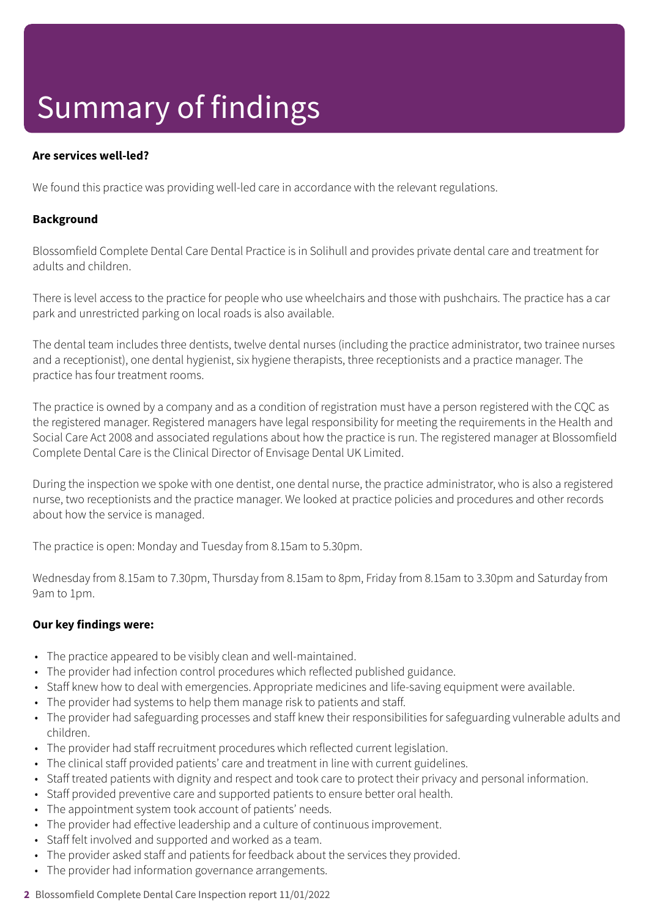## Summary of findings

### **Are services well-led?**

We found this practice was providing well-led care in accordance with the relevant regulations.

### **Background**

Blossomfield Complete Dental Care Dental Practice is in Solihull and provides private dental care and treatment for adults and children.

There is level access to the practice for people who use wheelchairs and those with pushchairs. The practice has a car park and unrestricted parking on local roads is also available.

The dental team includes three dentists, twelve dental nurses (including the practice administrator, two trainee nurses and a receptionist), one dental hygienist, six hygiene therapists, three receptionists and a practice manager. The practice has four treatment rooms.

The practice is owned by a company and as a condition of registration must have a person registered with the CQC as the registered manager. Registered managers have legal responsibility for meeting the requirements in the Health and Social Care Act 2008 and associated regulations about how the practice is run. The registered manager at Blossomfield Complete Dental Care is the Clinical Director of Envisage Dental UK Limited.

During the inspection we spoke with one dentist, one dental nurse, the practice administrator, who is also a registered nurse, two receptionists and the practice manager. We looked at practice policies and procedures and other records about how the service is managed.

The practice is open: Monday and Tuesday from 8.15am to 5.30pm.

Wednesday from 8.15am to 7.30pm, Thursday from 8.15am to 8pm, Friday from 8.15am to 3.30pm and Saturday from 9am to 1pm.

### **Our key findings were:**

- The practice appeared to be visibly clean and well-maintained.
- The provider had infection control procedures which reflected published guidance.
- Staff knew how to deal with emergencies. Appropriate medicines and life-saving equipment were available.
- The provider had systems to help them manage risk to patients and staff.
- The provider had safeguarding processes and staff knew their responsibilities for safeguarding vulnerable adults and children.
- The provider had staff recruitment procedures which reflected current legislation.
- The clinical staff provided patients' care and treatment in line with current guidelines.
- Staff treated patients with dignity and respect and took care to protect their privacy and personal information.
- Staff provided preventive care and supported patients to ensure better oral health.
- The appointment system took account of patients' needs.
- The provider had effective leadership and a culture of continuous improvement.
- Staff felt involved and supported and worked as a team.
- The provider asked staff and patients for feedback about the services they provided.
- The provider had information governance arrangements.
- **2** Blossomfield Complete Dental Care Inspection report 11/01/2022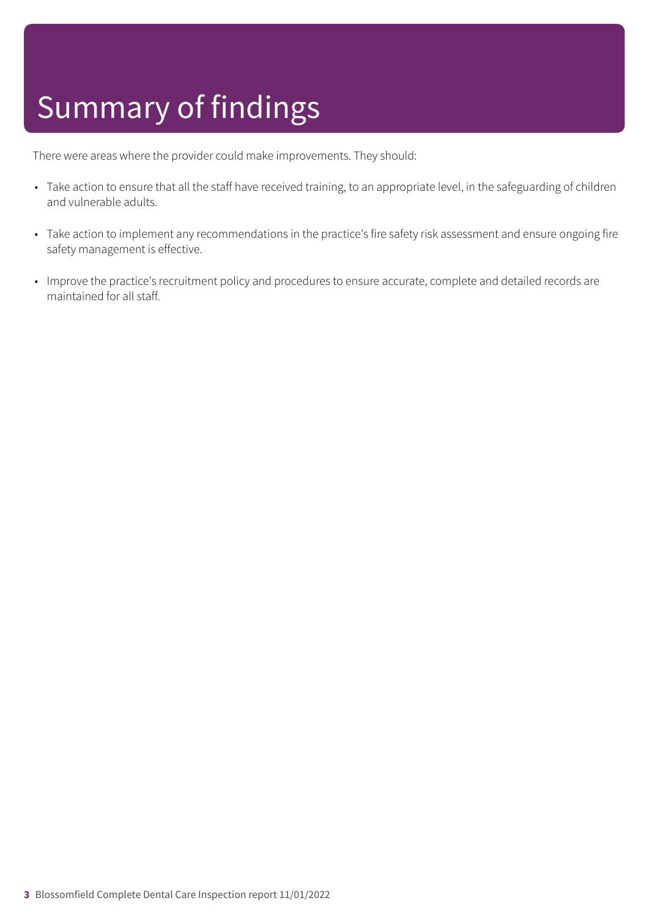## Summary of findings

There were areas where the provider could make improvements. They should:

- Take action to ensure that all the staff have received training, to an appropriate level, in the safeguarding of children and vulnerable adults.
- Take action to implement any recommendations in the practice's fire safety risk assessment and ensure ongoing fire safety management is effective.
- Improve the practice's recruitment policy and procedures to ensure accurate, complete and detailed records are maintained for all staff.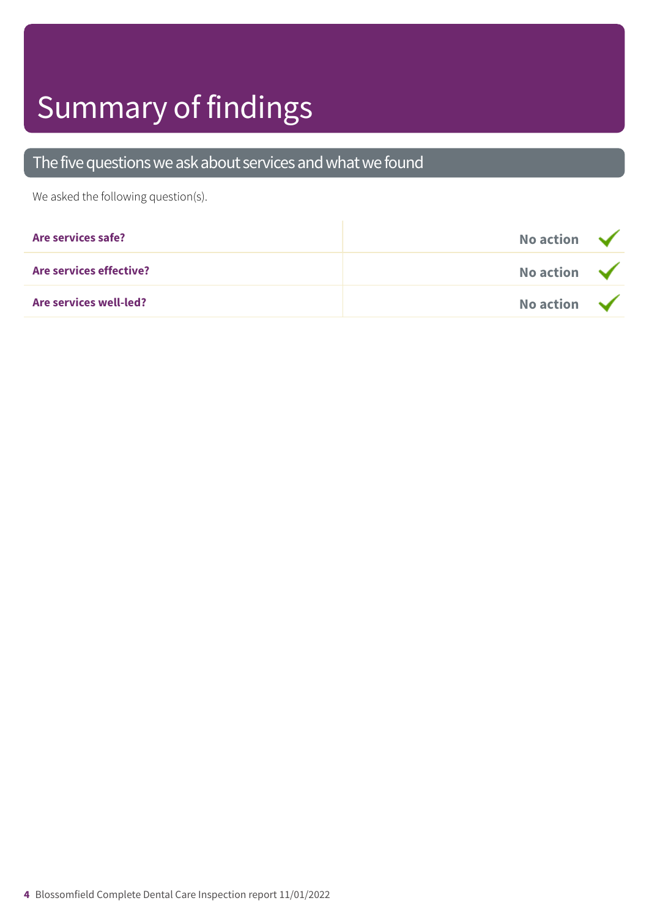## Summary of findings

### The five questions we ask about services and what we found

We asked the following question(s).

| Are services safe?            | No action $\sqrt{}$ |  |
|-------------------------------|---------------------|--|
| Are services effective?       | No action $\sqrt{}$ |  |
| <b>Are services well-led?</b> | No action $\sqrt{}$ |  |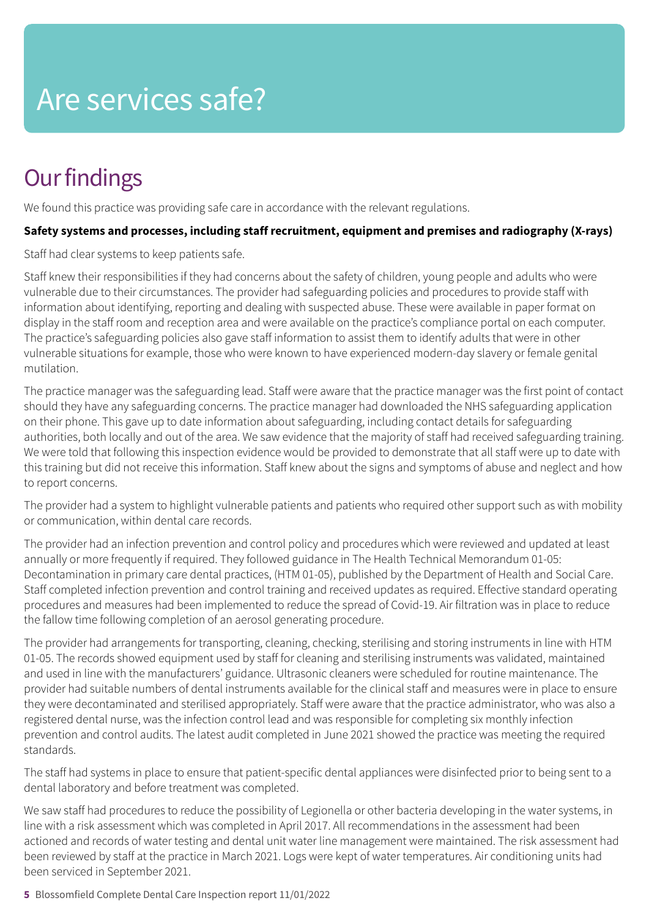### **Our findings**

We found this practice was providing safe care in accordance with the relevant regulations.

### **Safety systems and processes, including staff recruitment, equipment and premises and radiography (X-rays)**

Staff had clear systems to keep patients safe.

Staff knew their responsibilities if they had concerns about the safety of children, young people and adults who were vulnerable due to their circumstances. The provider had safeguarding policies and procedures to provide staff with information about identifying, reporting and dealing with suspected abuse. These were available in paper format on display in the staff room and reception area and were available on the practice's compliance portal on each computer. The practice's safeguarding policies also gave staff information to assist them to identify adults that were in other vulnerable situations for example, those who were known to have experienced modern-day slavery or female genital mutilation.

The practice manager was the safeguarding lead. Staff were aware that the practice manager was the first point of contact should they have any safeguarding concerns. The practice manager had downloaded the NHS safeguarding application on their phone. This gave up to date information about safeguarding, including contact details for safeguarding authorities, both locally and out of the area. We saw evidence that the majority of staff had received safeguarding training. We were told that following this inspection evidence would be provided to demonstrate that all staff were up to date with this training but did not receive this information. Staff knew about the signs and symptoms of abuse and neglect and how to report concerns.

The provider had a system to highlight vulnerable patients and patients who required other support such as with mobility or communication, within dental care records.

The provider had an infection prevention and control policy and procedures which were reviewed and updated at least annually or more frequently if required. They followed guidance in The Health Technical Memorandum 01-05: Decontamination in primary care dental practices, (HTM 01-05), published by the Department of Health and Social Care. Staff completed infection prevention and control training and received updates as required. Effective standard operating procedures and measures had been implemented to reduce the spread of Covid-19. Air filtration was in place to reduce the fallow time following completion of an aerosol generating procedure.

The provider had arrangements for transporting, cleaning, checking, sterilising and storing instruments in line with HTM 01-05. The records showed equipment used by staff for cleaning and sterilising instruments was validated, maintained and used in line with the manufacturers' guidance. Ultrasonic cleaners were scheduled for routine maintenance. The provider had suitable numbers of dental instruments available for the clinical staff and measures were in place to ensure they were decontaminated and sterilised appropriately. Staff were aware that the practice administrator, who was also a registered dental nurse, was the infection control lead and was responsible for completing six monthly infection prevention and control audits. The latest audit completed in June 2021 showed the practice was meeting the required standards.

The staff had systems in place to ensure that patient-specific dental appliances were disinfected prior to being sent to a dental laboratory and before treatment was completed.

We saw staff had procedures to reduce the possibility of Legionella or other bacteria developing in the water systems, in line with a risk assessment which was completed in April 2017. All recommendations in the assessment had been actioned and records of water testing and dental unit water line management were maintained. The risk assessment had been reviewed by staff at the practice in March 2021. Logs were kept of water temperatures. Air conditioning units had been serviced in September 2021.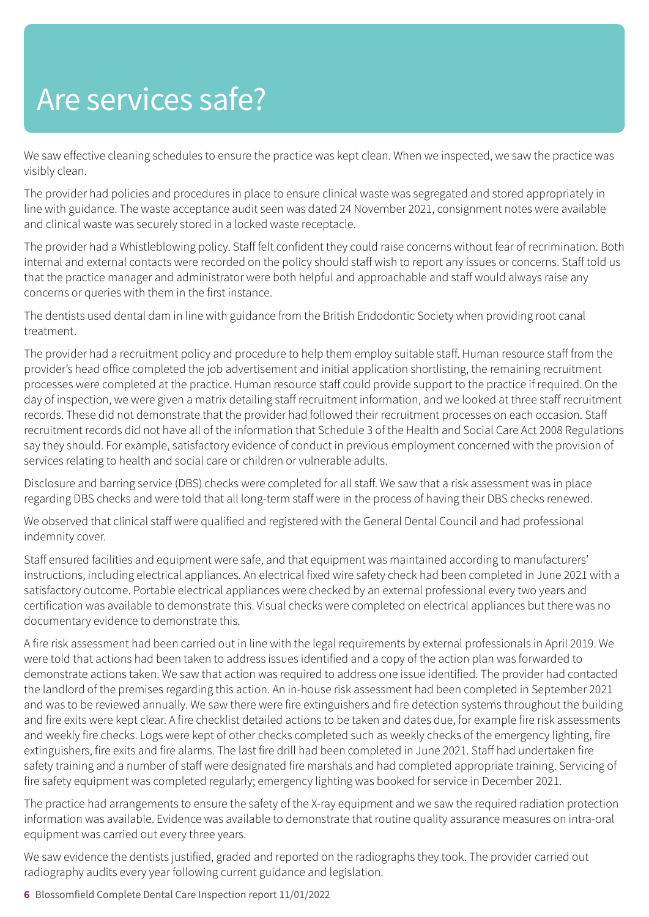We saw effective cleaning schedules to ensure the practice was kept clean. When we inspected, we saw the practice was visibly clean.

The provider had policies and procedures in place to ensure clinical waste was segregated and stored appropriately in line with guidance. The waste acceptance audit seen was dated 24 November 2021, consignment notes were available and clinical waste was securely stored in a locked waste receptacle.

The provider had a Whistleblowing policy. Staff felt confident they could raise concerns without fear of recrimination. Both internal and external contacts were recorded on the policy should staff wish to report any issues or concerns. Staff told us that the practice manager and administrator were both helpful and approachable and staff would always raise any concerns or queries with them in the first instance.

The dentists used dental dam in line with guidance from the British Endodontic Society when providing root canal treatment.

The provider had a recruitment policy and procedure to help them employ suitable staff. Human resource staff from the provider's head office completed the job advertisement and initial application shortlisting, the remaining recruitment processes were completed at the practice. Human resource staff could provide support to the practice if required. On the day of inspection, we were given a matrix detailing staff recruitment information, and we looked at three staff recruitment records. These did not demonstrate that the provider had followed their recruitment processes on each occasion. Staff recruitment records did not have all of the information that Schedule 3 of the Health and Social Care Act 2008 Regulations say they should. For example, satisfactory evidence of conduct in previous employment concerned with the provision of services relating to health and social care or children or vulnerable adults.

Disclosure and barring service (DBS) checks were completed for all staff. We saw that a risk assessment was in place regarding DBS checks and were told that all long-term staff were in the process of having their DBS checks renewed.

We observed that clinical staff were qualified and registered with the General Dental Council and had professional indemnity cover.

Staff ensured facilities and equipment were safe, and that equipment was maintained according to manufacturers' instructions, including electrical appliances. An electrical fixed wire safety check had been completed in June 2021 with a satisfactory outcome. Portable electrical appliances were checked by an external professional every two years and certification was available to demonstrate this. Visual checks were completed on electrical appliances but there was no documentary evidence to demonstrate this.

A fire risk assessment had been carried out in line with the legal requirements by external professionals in April 2019. We were told that actions had been taken to address issues identified and a copy of the action plan was forwarded to demonstrate actions taken. We saw that action was required to address one issue identified. The provider had contacted the landlord of the premises regarding this action. An in-house risk assessment had been completed in September 2021 and was to be reviewed annually. We saw there were fire extinguishers and fire detection systems throughout the building and fire exits were kept clear. A fire checklist detailed actions to be taken and dates due, for example fire risk assessments and weekly fire checks. Logs were kept of other checks completed such as weekly checks of the emergency lighting, fire extinguishers, fire exits and fire alarms. The last fire drill had been completed in June 2021. Staff had undertaken fire safety training and a number of staff were designated fire marshals and had completed appropriate training. Servicing of fire safety equipment was completed regularly; emergency lighting was booked for service in December 2021.

The practice had arrangements to ensure the safety of the X-ray equipment and we saw the required radiation protection information was available. Evidence was available to demonstrate that routine quality assurance measures on intra-oral equipment was carried out every three years.

We saw evidence the dentists justified, graded and reported on the radiographs they took. The provider carried out radiography audits every year following current guidance and legislation.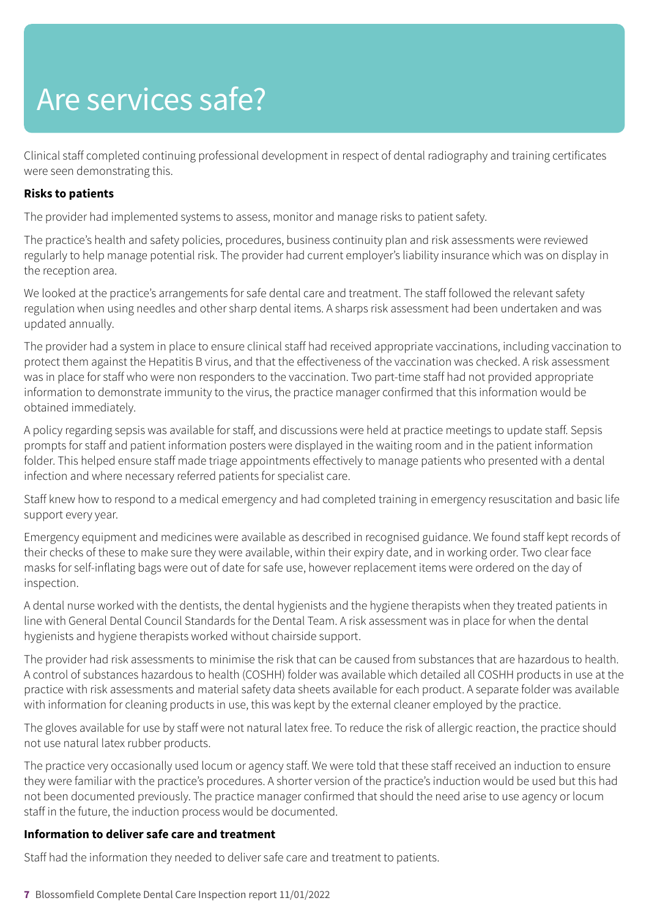Clinical staff completed continuing professional development in respect of dental radiography and training certificates were seen demonstrating this.

### **Risks to patients**

The provider had implemented systems to assess, monitor and manage risks to patient safety.

The practice's health and safety policies, procedures, business continuity plan and risk assessments were reviewed regularly to help manage potential risk. The provider had current employer's liability insurance which was on display in the reception area.

We looked at the practice's arrangements for safe dental care and treatment. The staff followed the relevant safety regulation when using needles and other sharp dental items. A sharps risk assessment had been undertaken and was updated annually.

The provider had a system in place to ensure clinical staff had received appropriate vaccinations, including vaccination to protect them against the Hepatitis B virus, and that the effectiveness of the vaccination was checked. A risk assessment was in place for staff who were non responders to the vaccination. Two part-time staff had not provided appropriate information to demonstrate immunity to the virus, the practice manager confirmed that this information would be obtained immediately.

A policy regarding sepsis was available for staff, and discussions were held at practice meetings to update staff. Sepsis prompts for staff and patient information posters were displayed in the waiting room and in the patient information folder. This helped ensure staff made triage appointments effectively to manage patients who presented with a dental infection and where necessary referred patients for specialist care.

Staff knew how to respond to a medical emergency and had completed training in emergency resuscitation and basic life support every year.

Emergency equipment and medicines were available as described in recognised guidance. We found staff kept records of their checks of these to make sure they were available, within their expiry date, and in working order. Two clear face masks for self-inflating bags were out of date for safe use, however replacement items were ordered on the day of inspection.

A dental nurse worked with the dentists, the dental hygienists and the hygiene therapists when they treated patients in line with General Dental Council Standards for the Dental Team. A risk assessment was in place for when the dental hygienists and hygiene therapists worked without chairside support.

The provider had risk assessments to minimise the risk that can be caused from substances that are hazardous to health. A control of substances hazardous to health (COSHH) folder was available which detailed all COSHH products in use at the practice with risk assessments and material safety data sheets available for each product. A separate folder was available with information for cleaning products in use, this was kept by the external cleaner employed by the practice.

The gloves available for use by staff were not natural latex free. To reduce the risk of allergic reaction, the practice should not use natural latex rubber products.

The practice very occasionally used locum or agency staff. We were told that these staff received an induction to ensure they were familiar with the practice's procedures. A shorter version of the practice's induction would be used but this had not been documented previously. The practice manager confirmed that should the need arise to use agency or locum staff in the future, the induction process would be documented.

### **Information to deliver safe care and treatment**

Staff had the information they needed to deliver safe care and treatment to patients.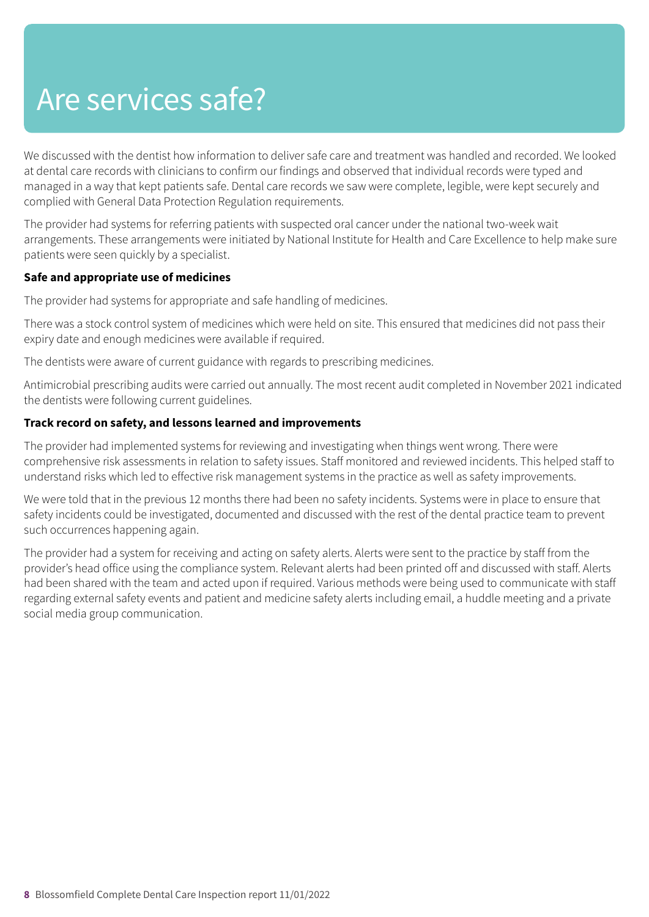We discussed with the dentist how information to deliver safe care and treatment was handled and recorded. We looked at dental care records with clinicians to confirm our findings and observed that individual records were typed and managed in a way that kept patients safe. Dental care records we saw were complete, legible, were kept securely and complied with General Data Protection Regulation requirements.

The provider had systems for referring patients with suspected oral cancer under the national two-week wait arrangements. These arrangements were initiated by National Institute for Health and Care Excellence to help make sure patients were seen quickly by a specialist.

### **Safe and appropriate use of medicines**

The provider had systems for appropriate and safe handling of medicines.

There was a stock control system of medicines which were held on site. This ensured that medicines did not pass their expiry date and enough medicines were available if required.

The dentists were aware of current guidance with regards to prescribing medicines.

Antimicrobial prescribing audits were carried out annually. The most recent audit completed in November 2021 indicated the dentists were following current guidelines.

### **Track record on safety, and lessons learned and improvements**

The provider had implemented systems for reviewing and investigating when things went wrong. There were comprehensive risk assessments in relation to safety issues. Staff monitored and reviewed incidents. This helped staff to understand risks which led to effective risk management systems in the practice as well as safety improvements.

We were told that in the previous 12 months there had been no safety incidents. Systems were in place to ensure that safety incidents could be investigated, documented and discussed with the rest of the dental practice team to prevent such occurrences happening again.

The provider had a system for receiving and acting on safety alerts. Alerts were sent to the practice by staff from the provider's head office using the compliance system. Relevant alerts had been printed off and discussed with staff. Alerts had been shared with the team and acted upon if required. Various methods were being used to communicate with staff regarding external safety events and patient and medicine safety alerts including email, a huddle meeting and a private social media group communication.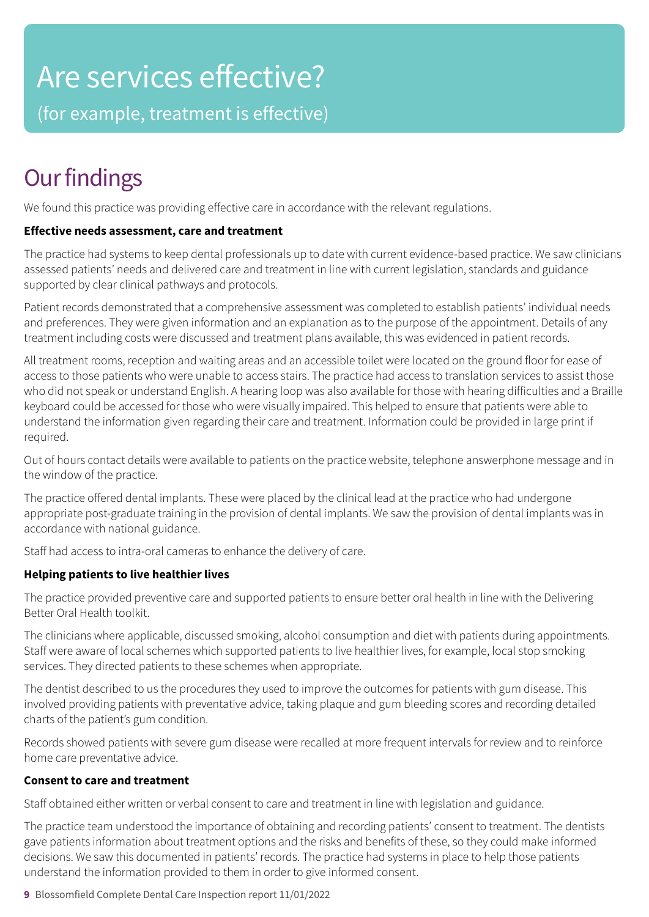## Are services effective?

(for example, treatment is effective)

### **Our findings**

We found this practice was providing effective care in accordance with the relevant regulations.

### **Effective needs assessment, care and treatment**

The practice had systems to keep dental professionals up to date with current evidence-based practice. We saw clinicians assessed patients' needs and delivered care and treatment in line with current legislation, standards and guidance supported by clear clinical pathways and protocols.

Patient records demonstrated that a comprehensive assessment was completed to establish patients' individual needs and preferences. They were given information and an explanation as to the purpose of the appointment. Details of any treatment including costs were discussed and treatment plans available, this was evidenced in patient records.

All treatment rooms, reception and waiting areas and an accessible toilet were located on the ground floor for ease of access to those patients who were unable to access stairs. The practice had access to translation services to assist those who did not speak or understand English. A hearing loop was also available for those with hearing difficulties and a Braille keyboard could be accessed for those who were visually impaired. This helped to ensure that patients were able to understand the information given regarding their care and treatment. Information could be provided in large print if required.

Out of hours contact details were available to patients on the practice website, telephone answerphone message and in the window of the practice.

The practice offered dental implants. These were placed by the clinical lead at the practice who had undergone appropriate post-graduate training in the provision of dental implants. We saw the provision of dental implants was in accordance with national guidance.

Staff had access to intra-oral cameras to enhance the delivery of care.

### **Helping patients to live healthier lives**

The practice provided preventive care and supported patients to ensure better oral health in line with the Delivering Better Oral Health toolkit.

The clinicians where applicable, discussed smoking, alcohol consumption and diet with patients during appointments. Staff were aware of local schemes which supported patients to live healthier lives, for example, local stop smoking services. They directed patients to these schemes when appropriate.

The dentist described to us the procedures they used to improve the outcomes for patients with gum disease. This involved providing patients with preventative advice, taking plaque and gum bleeding scores and recording detailed charts of the patient's gum condition.

Records showed patients with severe gum disease were recalled at more frequent intervals for review and to reinforce home care preventative advice.

### **Consent to care and treatment**

Staff obtained either written or verbal consent to care and treatment in line with legislation and guidance.

The practice team understood the importance of obtaining and recording patients' consent to treatment. The dentists gave patients information about treatment options and the risks and benefits of these, so they could make informed decisions. We saw this documented in patients' records. The practice had systems in place to help those patients understand the information provided to them in order to give informed consent.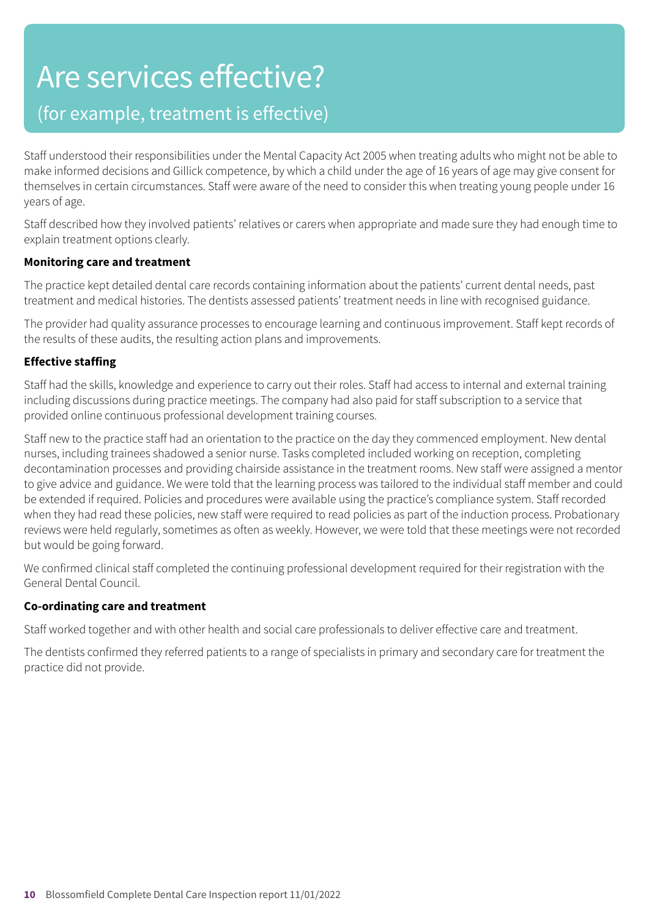## Are services effective?

### (for example, treatment is effective)

Staff understood their responsibilities under the Mental Capacity Act 2005 when treating adults who might not be able to make informed decisions and Gillick competence, by which a child under the age of 16 years of age may give consent for themselves in certain circumstances. Staff were aware of the need to consider this when treating young people under 16 years of age.

Staff described how they involved patients' relatives or carers when appropriate and made sure they had enough time to explain treatment options clearly.

### **Monitoring care and treatment**

The practice kept detailed dental care records containing information about the patients' current dental needs, past treatment and medical histories. The dentists assessed patients' treatment needs in line with recognised guidance.

The provider had quality assurance processes to encourage learning and continuous improvement. Staff kept records of the results of these audits, the resulting action plans and improvements.

### **Effective staffing**

Staff had the skills, knowledge and experience to carry out their roles. Staff had access to internal and external training including discussions during practice meetings. The company had also paid for staff subscription to a service that provided online continuous professional development training courses.

Staff new to the practice staff had an orientation to the practice on the day they commenced employment. New dental nurses, including trainees shadowed a senior nurse. Tasks completed included working on reception, completing decontamination processes and providing chairside assistance in the treatment rooms. New staff were assigned a mentor to give advice and guidance. We were told that the learning process was tailored to the individual staff member and could be extended if required. Policies and procedures were available using the practice's compliance system. Staff recorded when they had read these policies, new staff were required to read policies as part of the induction process. Probationary reviews were held regularly, sometimes as often as weekly. However, we were told that these meetings were not recorded but would be going forward.

We confirmed clinical staff completed the continuing professional development required for their registration with the General Dental Council.

### **Co-ordinating care and treatment**

Staff worked together and with other health and social care professionals to deliver effective care and treatment.

The dentists confirmed they referred patients to a range of specialists in primary and secondary care for treatment the practice did not provide.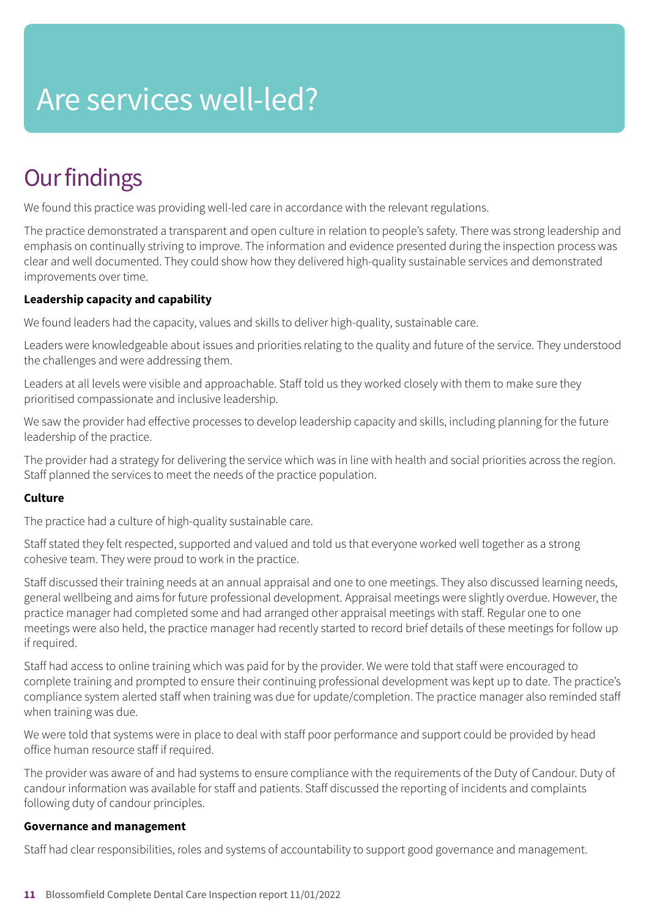## Are services well-led?

### **Our findings**

We found this practice was providing well-led care in accordance with the relevant regulations.

The practice demonstrated a transparent and open culture in relation to people's safety. There was strong leadership and emphasis on continually striving to improve. The information and evidence presented during the inspection process was clear and well documented. They could show how they delivered high-quality sustainable services and demonstrated improvements over time.

### **Leadership capacity and capability**

We found leaders had the capacity, values and skills to deliver high-quality, sustainable care.

Leaders were knowledgeable about issues and priorities relating to the quality and future of the service. They understood the challenges and were addressing them.

Leaders at all levels were visible and approachable. Staff told us they worked closely with them to make sure they prioritised compassionate and inclusive leadership.

We saw the provider had effective processes to develop leadership capacity and skills, including planning for the future leadership of the practice.

The provider had a strategy for delivering the service which was in line with health and social priorities across the region. Staff planned the services to meet the needs of the practice population.

### **Culture**

The practice had a culture of high-quality sustainable care.

Staff stated they felt respected, supported and valued and told us that everyone worked well together as a strong cohesive team. They were proud to work in the practice.

Staff discussed their training needs at an annual appraisal and one to one meetings. They also discussed learning needs, general wellbeing and aims for future professional development. Appraisal meetings were slightly overdue. However, the practice manager had completed some and had arranged other appraisal meetings with staff. Regular one to one meetings were also held, the practice manager had recently started to record brief details of these meetings for follow up if required.

Staff had access to online training which was paid for by the provider. We were told that staff were encouraged to complete training and prompted to ensure their continuing professional development was kept up to date. The practice's compliance system alerted staff when training was due for update/completion. The practice manager also reminded staff when training was due.

We were told that systems were in place to deal with staff poor performance and support could be provided by head office human resource staff if required.

The provider was aware of and had systems to ensure compliance with the requirements of the Duty of Candour. Duty of candour information was available for staff and patients. Staff discussed the reporting of incidents and complaints following duty of candour principles.

### **Governance and management**

Staff had clear responsibilities, roles and systems of accountability to support good governance and management.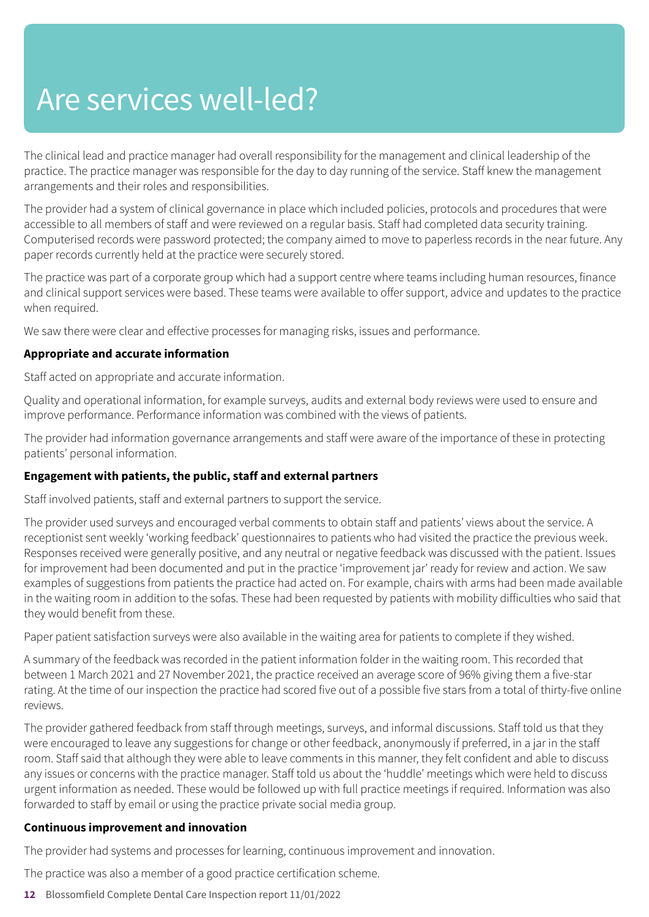## Are services well-led?

The clinical lead and practice manager had overall responsibility for the management and clinical leadership of the practice. The practice manager was responsible for the day to day running of the service. Staff knew the management arrangements and their roles and responsibilities.

The provider had a system of clinical governance in place which included policies, protocols and procedures that were accessible to all members of staff and were reviewed on a regular basis. Staff had completed data security training. Computerised records were password protected; the company aimed to move to paperless records in the near future. Any paper records currently held at the practice were securely stored.

The practice was part of a corporate group which had a support centre where teams including human resources, finance and clinical support services were based. These teams were available to offer support, advice and updates to the practice when required.

We saw there were clear and effective processes for managing risks, issues and performance.

### **Appropriate and accurate information**

Staff acted on appropriate and accurate information.

Quality and operational information, for example surveys, audits and external body reviews were used to ensure and improve performance. Performance information was combined with the views of patients.

The provider had information governance arrangements and staff were aware of the importance of these in protecting patients' personal information.

### **Engagement with patients, the public, staff and external partners**

Staff involved patients, staff and external partners to support the service.

The provider used surveys and encouraged verbal comments to obtain staff and patients' views about the service. A receptionist sent weekly 'working feedback' questionnaires to patients who had visited the practice the previous week. Responses received were generally positive, and any neutral or negative feedback was discussed with the patient. Issues for improvement had been documented and put in the practice 'improvement jar' ready for review and action. We saw examples of suggestions from patients the practice had acted on. For example, chairs with arms had been made available in the waiting room in addition to the sofas. These had been requested by patients with mobility difficulties who said that they would benefit from these.

Paper patient satisfaction surveys were also available in the waiting area for patients to complete if they wished.

A summary of the feedback was recorded in the patient information folder in the waiting room. This recorded that between 1 March 2021 and 27 November 2021, the practice received an average score of 96% giving them a five-star rating. At the time of our inspection the practice had scored five out of a possible five stars from a total of thirty-five online reviews.

The provider gathered feedback from staff through meetings, surveys, and informal discussions. Staff told us that they were encouraged to leave any suggestions for change or other feedback, anonymously if preferred, in a jar in the staff room. Staff said that although they were able to leave comments in this manner, they felt confident and able to discuss any issues or concerns with the practice manager. Staff told us about the 'huddle' meetings which were held to discuss urgent information as needed. These would be followed up with full practice meetings if required. Information was also forwarded to staff by email or using the practice private social media group.

### **Continuous improvement and innovation**

The provider had systems and processes for learning, continuous improvement and innovation.

The practice was also a member of a good practice certification scheme.